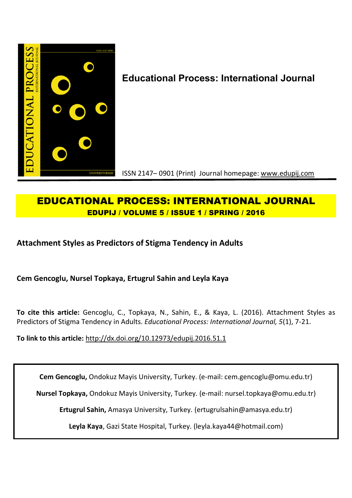

# **EDUCATIONAL PROCESS: INTERNATIONAL JOURNAL EDUPIJ / VOLUME 5 / ISSUE 1 / SPRING / 2016**

# **Attachment Styles as Predictors of Stigma Tendency in Adults**

**Cem Gencoglu, Nursel Topkaya, Ertugrul Sahin and Leyla Kaya**

**To cite this article:** Gencoglu, C., Topkaya, N., Sahin, E., & Kaya, L. (2016). Attachment Styles as Predictors of Stigma Tendency in Adults. *Educational Process: International Journal, 5*(1), 7-21.

**To link to this article:** http://dx.doi.org/10.12973/edupij.2016.51.1

**Cem Gencoglu,** Ondokuz Mayis University, Turkey. (e-mail: cem.gencoglu@omu.edu.tr)

**Nursel Topkaya,** Ondokuz Mayis University, Turkey. (e-mail: nursel.topkaya@omu.edu.tr)

**Ertugrul Sahin,** Amasya University, Turkey. (ertugrulsahin@amasya.edu.tr)

**Leyla Kaya**, Gazi State Hospital, Turkey. (leyla.kaya44@hotmail.com)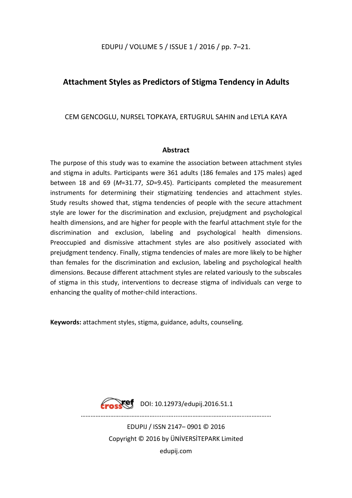# EDUPIJ / VOLUME 5 / ISSUE 1 / 2016 / pp. 7–21.

# **Attachment Styles as Predictors of Stigma Tendency in Adults**

# CEM GENCOGLU, NURSEL TOPKAYA, ERTUGRUL SAHIN and LEYLA KAYA

# **Abstract**

The purpose of this study was to examine the association between attachment styles and stigma in adults. Participants were 361 adults (186 females and 175 males) aged between 18 and 69 (*M*=31.77, *SD*=9.45). Participants completed the measurement instruments for determining their stigmatizing tendencies and attachment styles. Study results showed that, stigma tendencies of people with the secure attachment style are lower for the discrimination and exclusion, prejudgment and psychological health dimensions, and are higher for people with the fearful attachment style for the discrimination and exclusion, labeling and psychological health dimensions. Preoccupied and dismissive attachment styles are also positively associated with prejudgment tendency. Finally, stigma tendencies of males are more likely to be higher than females for the discrimination and exclusion, labeling and psychological health dimensions. Because different attachment styles are related variously to the subscales of stigma in this study, interventions to decrease stigma of individuals can verge to enhancing the quality of mother-child interactions.

**Keywords:** attachment styles, stigma, guidance, adults, counseling.



Fraskef DOI: 10.12973/edupij.2016.51.1

………………………………………........….....………………………………...……………

EDUPIJ / ISSN 2147– 0901 © 2016 Copyright © 2016 by ÜNİVERSİTEPARK Limited edupij.com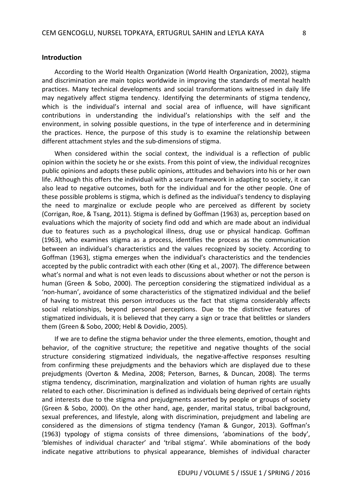#### **Introduction**

According to the World Health Organization (World Health Organization, 2002), stigma and discrimination are main topics worldwide in improving the standards of mental health practices. Many technical developments and social transformations witnessed in daily life may negatively affect stigma tendency. Identifying the determinants of stigma tendency, which is the individual's internal and social area of influence, will have significant contributions in understanding the individual's relationships with the self and the environment, in solving possible questions, in the type of interference and in determining the practices. Hence, the purpose of this study is to examine the relationship between different attachment styles and the sub-dimensions of stigma.

When considered within the social context, the individual is a reflection of public opinion within the society he or she exists. From this point of view, the individual recognizes public opinions and adopts these public opinions, attitudes and behaviors into his or her own life. Although this offers the individual with a secure framework in adapting to society, it can also lead to negative outcomes, both for the individual and for the other people. One of these possible problems is stigma, which is defined as the individual's tendency to displaying the need to marginalize or exclude people who are perceived as different by society (Corrigan, Roe, & Tsang, 2011). Stigma is defined by Goffman (1963) as, perception based on evaluations which the majority of society find odd and which are made about an individual due to features such as a psychological illness, drug use or physical handicap. Goffman (1963), who examines stigma as a process, identifies the process as the communication between an individual's characteristics and the values recognized by society. According to Goffman (1963), stigma emerges when the individual's characteristics and the tendencies accepted by the public contradict with each other (King et al., 2007). The difference between what's normal and what is not even leads to discussions about whether or not the person is human (Green & Sobo, 2000). The perception considering the stigmatized individual as a 'non-human', avoidance of some characteristics of the stigmatized individual and the belief of having to mistreat this person introduces us the fact that stigma considerably affects social relationships, beyond personal perceptions. Due to the distinctive features of stigmatized individuals, it is believed that they carry a sign or trace that belittles or slanders them (Green & Sobo, 2000; Hebl & Dovidio, 2005).

If we are to define the stigma behavior under the three elements, emotion, thought and behavior, of the cognitive structure; the repetitive and negative thoughts of the social structure considering stigmatized individuals, the negative-affective responses resulting from confirming these prejudgments and the behaviors which are displayed due to these prejudgments (Overton & Medina, 2008; Peterson, Barnes, & Duncan, 2008). The terms stigma tendency, discrimination, marginalization and violation of human rights are usually related to each other. Discrimination is defined as individuals being deprived of certain rights and interests due to the stigma and prejudgments asserted by people or groups of society (Green & Sobo, 2000). On the other hand, age, gender, marital status, tribal background, sexual preferences, and lifestyle, along with discrimination, prejudgment and labeling are considered as the dimensions of stigma tendency (Yaman & Gungor, 2013). Goffman's (1963) typology of stigma consists of three dimensions, 'abominations of the body', 'blemishes of individual character' and 'tribal stigma'. While abominations of the body indicate negative attributions to physical appearance, blemishes of individual character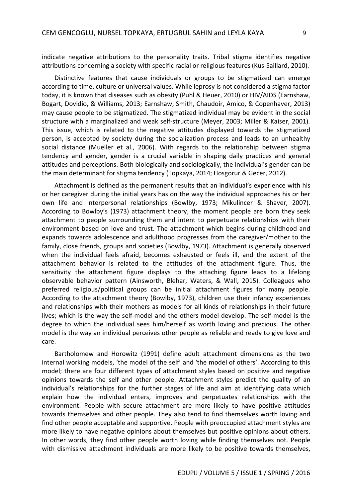indicate negative attributions to the personality traits. Tribal stigma identifies negative attributions concerning a society with specific racial or religious features (Kus-Saillard, 2010).

Distinctive features that cause individuals or groups to be stigmatized can emerge according to time, culture or universal values. While leprosy is not considered a stigma factor today, it is known that diseases such as obesity (Puhl & Heuer, 2010) or HIV/AIDS (Earnshaw, Bogart, Dovidio, & Williams, 2013; Earnshaw, Smith, Chaudoir, Amico, & Copenhaver, 2013) may cause people to be stigmatized. The stigmatized individual may be evident in the social structure with a marginalized and weak self-structure (Meyer, 2003; Miller & Kaiser, 2001). This issue, which is related to the negative attitudes displayed towards the stigmatized person, is accepted by society during the socialization process and leads to an unhealthy social distance (Mueller et al., 2006). With regards to the relationship between stigma tendency and gender, gender is a crucial variable in shaping daily practices and general attitudes and perceptions. Both biologically and sociologically, the individual's gender can be the main determinant for stigma tendency (Topkaya, 2014; Hosgorur & Gecer, 2012).

Attachment is defined as the permanent results that an individual's experience with his or her caregiver during the initial years has on the way the individual approaches his or her own life and interpersonal relationships (Bowlby, 1973; Mikulincer & Shaver, 2007). According to Bowlby's (1973) attachment theory, the moment people are born they seek attachment to people surrounding them and intent to perpetuate relationships with their environment based on love and trust. The attachment which begins during childhood and expands towards adolescence and adulthood progresses from the caregiver/mother to the family, close friends, groups and societies (Bowlby, 1973). Attachment is generally observed when the individual feels afraid, becomes exhausted or feels ill, and the extent of the attachment behavior is related to the attitudes of the attachment figure. Thus, the sensitivity the attachment figure displays to the attaching figure leads to a lifelong observable behavior pattern (Ainsworth, Blehar, Waters, & Wall, 2015). Colleagues who preferred religious/political groups can be initial attachment figures for many people. According to the attachment theory (Bowlby, 1973), children use their infancy experiences and relationships with their mothers as models for all kinds of relationships in their future lives; which is the way the self-model and the others model develop. The self-model is the degree to which the individual sees him/herself as worth loving and precious. The other model is the way an individual perceives other people as reliable and ready to give love and care.

Bartholomew and Horowitz (1991) define adult attachment dimensions as the two internal working models, 'the model of the self' and 'the model of others'. According to this model; there are four different types of attachment styles based on positive and negative opinions towards the self and other people. Attachment styles predict the quality of an individual's relationships for the further stages of life and aim at identifying data which explain how the individual enters, improves and perpetuates relationships with the environment. People with secure attachment are more likely to have positive attitudes towards themselves and other people. They also tend to find themselves worth loving and find other people acceptable and supportive. People with preoccupied attachment styles are more likely to have negative opinions about themselves but positive opinions about others. In other words, they find other people worth loving while finding themselves not. People with dismissive attachment individuals are more likely to be positive towards themselves,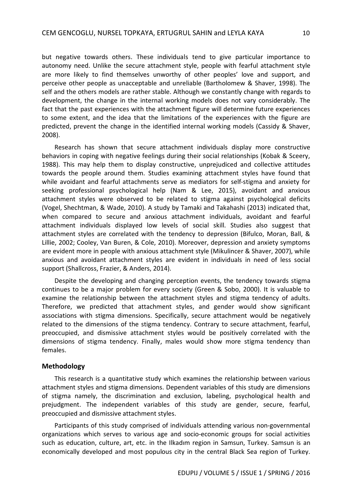but negative towards others. These individuals tend to give particular importance to autonomy need. Unlike the secure attachment style, people with fearful attachment style are more likely to find themselves unworthy of other peoples' love and support, and perceive other people as unacceptable and unreliable (Bartholomew & Shaver, 1998). The self and the others models are rather stable. Although we constantly change with regards to development, the change in the internal working models does not vary considerably. The fact that the past experiences with the attachment figure will determine future experiences to some extent, and the idea that the limitations of the experiences with the figure are predicted, prevent the change in the identified internal working models (Cassidy & Shaver, 2008).

Research has shown that secure attachment individuals display more constructive behaviors in coping with negative feelings during their social relationships (Kobak & Sceery, 1988). This may help them to display constructive, unprejudiced and collective attitudes towards the people around them. Studies examining attachment styles have found that while avoidant and fearful attachments serve as mediators for self-stigma and anxiety for seeking professional psychological help (Nam & Lee, 2015), avoidant and anxious attachment styles were observed to be related to stigma against psychological deficits (Vogel, Shechtman, & Wade, 2010). A study by Tamaki and Takahashi (2013) indicated that, when compared to secure and anxious attachment individuals, avoidant and fearful attachment individuals displayed low levels of social skill. Studies also suggest that attachment styles are correlated with the tendency to depression (Bifulco, Moran, Ball, & Lillie, 2002; Cooley, Van Buren, & Cole, 2010). Moreover, depression and anxiety symptoms are evident more in people with anxious attachment style (Mikulincer & Shaver, 2007), while anxious and avoidant attachment styles are evident in individuals in need of less social support (Shallcross, Frazier, & Anders, 2014).

Despite the developing and changing perception events, the tendency towards stigma continues to be a major problem for every society (Green & Sobo, 2000). It is valuable to examine the relationship between the attachment styles and stigma tendency of adults. Therefore, we predicted that attachment styles, and gender would show significant associations with stigma dimensions. Specifically, secure attachment would be negatively related to the dimensions of the stigma tendency. Contrary to secure attachment, fearful, preoccupied, and dismissive attachment styles would be positively correlated with the dimensions of stigma tendency. Finally, males would show more stigma tendency than females.

## **Methodology**

This research is a quantitative study which examines the relationship between various attachment styles and stigma dimensions. Dependent variables of this study are dimensions of stigma namely, the discrimination and exclusion, labeling, psychological health and prejudgment. The independent variables of this study are gender, secure, fearful, preoccupied and dismissive attachment styles.

Participants of this study comprised of individuals attending various non-governmental organizations which serves to various age and socio-economic groups for social activities such as education, culture, art, etc. in the Ilkadım region in Samsun, Turkey. Samsun is an economically developed and most populous city in the central Black Sea region of Turkey.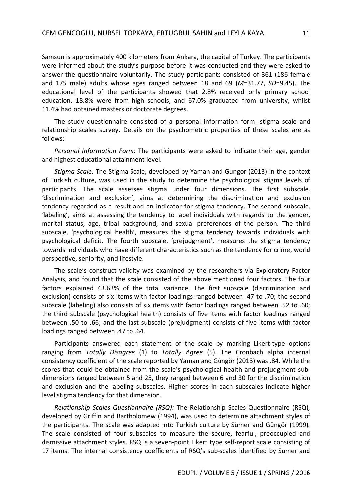Samsun is approximately 400 kilometers from Ankara, the capital of Turkey. The participants were informed about the study's purpose before it was conducted and they were asked to answer the questionnaire voluntarily. The study participants consisted of 361 (186 female and 175 male) adults whose ages ranged between 18 and 69 (*M*=31.77, *SD*=9.45). The educational level of the participants showed that 2.8% received only primary school education, 18.8% were from high schools, and 67.0% graduated from university, whilst 11.4% had obtained masters or doctorate degrees.

The study questionnaire consisted of a personal information form, stigma scale and relationship scales survey. Details on the psychometric properties of these scales are as follows:

*Personal Information Form:* The participants were asked to indicate their age, gender and highest educational attainment level.

*Stigma Scale:* The Stigma Scale, developed by Yaman and Gungor (2013) in the context of Turkish culture, was used in the study to determine the psychological stigma levels of participants. The scale assesses stigma under four dimensions. The first subscale, 'discrimination and exclusion', aims at determining the discrimination and exclusion tendency regarded as a result and an indicator for stigma tendency. The second subscale, 'labeling', aims at assessing the tendency to label individuals with regards to the gender, marital status, age, tribal background, and sexual preferences of the person. The third subscale, 'psychological health', measures the stigma tendency towards individuals with psychological deficit. The fourth subscale, 'prejudgment', measures the stigma tendency towards individuals who have different characteristics such as the tendency for crime, world perspective, seniority, and lifestyle.

The scale's construct validity was examined by the researchers via Exploratory Factor Analysis, and found that the scale consisted of the above mentioned four factors. The four factors explained 43.63% of the total variance. The first subscale (discrimination and exclusion) consists of six items with factor loadings ranged between .47 to .70; the second subscale (labeling) also consists of six items with factor loadings ranged between .52 to .60; the third subscale (psychological health) consists of five items with factor loadings ranged between .50 to .66; and the last subscale (prejudgment) consists of five items with factor loadings ranged between .47 to .64.

Participants answered each statement of the scale by marking Likert-type options ranging from *Totally Disagree* (1) to *Totally Agree* (5). The Cronbach alpha internal consistency coefficient of the scale reported by Yaman and Güngör (2013) was .84. While the scores that could be obtained from the scale's psychological health and prejudgment subdimensions ranged between 5 and 25, they ranged between 6 and 30 for the discrimination and exclusion and the labeling subscales. Higher scores in each subscales indicate higher level stigma tendency for that dimension.

*Relationship Scales Questionnaire (RSQ):* The Relationship Scales Questionnaire (RSQ), developed by Griffin and Bartholomew (1994), was used to determine attachment styles of the participants. The scale was adapted into Turkish culture by Sümer and Güngör (1999). The scale consisted of four subscales to measure the secure, fearful, preoccupied and dismissive attachment styles. RSQ is a seven-point Likert type self-report scale consisting of 17 items. The internal consistency coefficients of RSQ's sub-scales identified by Sumer and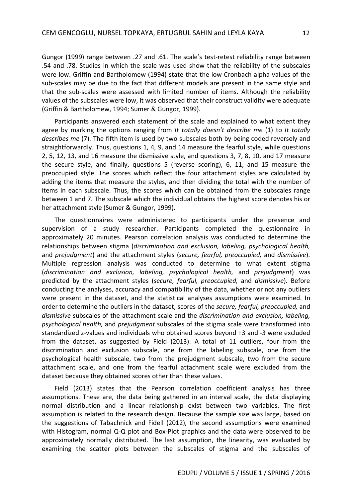Gungor (1999) range between .27 and .61. The scale's test-retest reliability range between .54 and .78. Studies in which the scale was used show that the reliability of the subscales were low. Griffin and Bartholomew (1994) state that the low Cronbach alpha values of the sub-scales may be due to the fact that different models are present in the same style and that the sub-scales were assessed with limited number of items. Although the reliability values of the subscales were low, it was observed that their construct validity were adequate (Griffin & Bartholomew, 1994; Sumer & Gungor, 1999).

Participants answered each statement of the scale and explained to what extent they agree by marking the options ranging from *It totally doesn't describe me* (1) to *It totally describes me* (7). The fifth item is used by two subscales both by being coded reversely and straightforwardly. Thus, questions 1, 4, 9, and 14 measure the fearful style, while questions 2, 5, 12, 13, and 16 measure the dismissive style, and questions 3, 7, 8, 10, and 17 measure the secure style, and finally, questions 5 (reverse scoring), 6, 11, and 15 measure the preoccupied style. The scores which reflect the four attachment styles are calculated by adding the items that measure the styles, and then dividing the total with the number of items in each subscale. Thus, the scores which can be obtained from the subscales range between 1 and 7. The subscale which the individual obtains the highest score denotes his or her attachment style (Sumer & Gungor, 1999).

The questionnaires were administered to participants under the presence and supervision of a study researcher. Participants completed the questionnaire in approximately 20 minutes. Pearson correlation analysis was conducted to determine the relationships between stigma (*discrimination and exclusion, labeling, psychological health,* and *prejudgment*) and the attachment styles (*secure, fearful, preoccupied,* and *dismissive*). Multiple regression analysis was conducted to determine to what extent stigma (*discrimination and exclusion, labeling, psychological health,* and *prejudgment*) was predicted by the attachment styles (*secure, fearful, preoccupied,* and *dismissive*). Before conducting the analyses, accuracy and compatibility of the data, whether or not any outliers were present in the dataset, and the statistical analyses assumptions were examined. In order to determine the outliers in the dataset, scores of the *secure, fearful, preoccupied,* and *dismissive* subscales of the attachment scale and the *discrimination and exclusion, labeling, psychological health,* and *prejudgment* subscales of the stigma scale were transformed into standardized z-values and individuals who obtained scores beyond +3 and -3 were excluded from the dataset, as suggested by Field (2013). A total of 11 outliers, four from the discrimination and exclusion subscale, one from the labeling subscale, one from the psychological health subscale, two from the prejudgment subscale, two from the secure attachment scale, and one from the fearful attachment scale were excluded from the dataset because they obtained scores other than these values.

Field (2013) states that the Pearson correlation coefficient analysis has three assumptions. These are, the data being gathered in an interval scale, the data displaying normal distribution and a linear relationship exist between two variables. The first assumption is related to the research design. Because the sample size was large, based on the suggestions of Tabachnick and Fidell (2012), the second assumptions were examined with Histogram, normal Q-Q plot and Box-Plot graphics and the data were observed to be approximately normally distributed. The last assumption, the linearity, was evaluated by examining the scatter plots between the subscales of stigma and the subscales of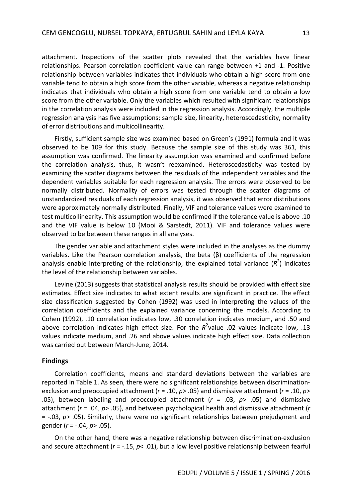attachment. Inspections of the scatter plots revealed that the variables have linear relationships. Pearson correlation coefficient value can range between +1 and -1. Positive relationship between variables indicates that individuals who obtain a high score from one variable tend to obtain a high score from the other variable, whereas a negative relationship indicates that individuals who obtain a high score from one variable tend to obtain a low score from the other variable. Only the variables which resulted with significant relationships in the correlation analysis were included in the regression analysis. Accordingly, the multiple regression analysis has five assumptions; sample size, linearity, heteroscedasticity, normality of error distributions and multicollinearity.

Firstly, sufficient sample size was examined based on Green's (1991) formula and it was observed to be 109 for this study. Because the sample size of this study was 361, this assumption was confirmed. The linearity assumption was examined and confirmed before the correlation analysis, thus, it wasn't reexamined. Heteroscedasticity was tested by examining the scatter diagrams between the residuals of the independent variables and the dependent variables suitable for each regression analysis. The errors were observed to be normally distributed. Normality of errors was tested through the scatter diagrams of unstandardized residuals of each regression analysis, it was observed that error distributions were approximately normally distributed. Finally, VIF and tolerance values were examined to test multicollinearity. This assumption would be confirmed if the tolerance value is above .10 and the VIF value is below 10 (Mooi & Sarstedt, 2011). VIF and tolerance values were observed to be between these ranges in all analyses.

The gender variable and attachment styles were included in the analyses as the dummy variables. Like the Pearson correlation analysis, the beta (β) coefficients of the regression analysis enable interpreting of the relationship, the explained total variance (R<sup>2</sup>) indicates the level of the relationship between variables.

Levine (2013) suggests that statistical analysis results should be provided with effect size estimates. Effect size indicates to what extent results are significant in practice. The effect size classification suggested by Cohen (1992) was used in interpreting the values of the correlation coefficients and the explained variance concerning the models. According to Cohen (1992), .10 correlation indicates low, .30 correlation indicates medium, and .50 and above correlation indicates high effect size. For the  $R^2$ value .02 values indicate low, .13 values indicate medium, and .26 and above values indicate high effect size. Data collection was carried out between March-June, 2014.

## **Findings**

Correlation coefficients, means and standard deviations between the variables are reported in Table 1. As seen, there were no significant relationships between discriminationexclusion and preoccupied attachment (*r* = .10, *p*> .05) and dismissive attachment (*r* = .10, *p*> .05), between labeling and preoccupied attachment (*r* = .03, *p*> .05) and dismissive attachment (*r* = .04, *p*> .05), and between psychological health and dismissive attachment (*r* = -.03, *p*> .05). Similarly, there were no significant relationships between prejudgment and gender (*r* = -.04, *p*> .05).

On the other hand, there was a negative relationship between discrimination-exclusion and secure attachment (*r* = -.15, *p*< .01), but a low level positive relationship between fearful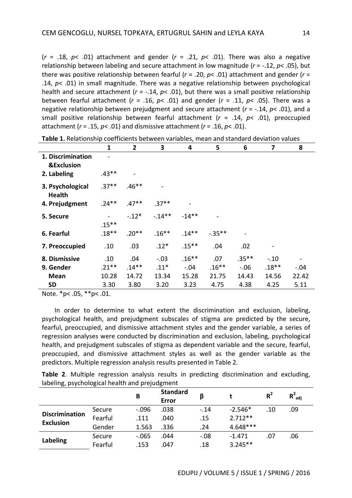$(r = .18, p < .01)$  attachment and gender  $(r = .21, p < .01)$ . There was also a negative relationship between labeling and secure attachment in low magnitude (*r* = -.12, *p*< .05), but there was positive relationship between fearful (*r* = .20, *p*< .01) attachment and gender (*r* = .14, *p*< .01) in small magnitude. There was a negative relationship between psychological health and secure attachment ( $r = -.14$ ,  $p < .01$ ), but there was a small positive relationship between fearful attachment (*r* = .16, *p*< .01) and gender (*r* = .11, *p*< .05). There was a negative relationship between prejudgment and secure attachment (*r* = -.14, *p*< .01), and a small positive relationship between fearful attachment (*r* = .14, *p*< .01), preoccupied attachment (*r* = .15, *p*< .01) and dismissive attachment (*r* = .16, *p*< .01).

|                                            | 1        | $\mathbf{2}$ | 3        | 4        | 5         | 6        | 7       | 8      |
|--------------------------------------------|----------|--------------|----------|----------|-----------|----------|---------|--------|
| 1. Discrimination<br><b>&amp;Exclusion</b> |          |              |          |          |           |          |         |        |
| 2. Labeling                                | $.43**$  |              |          |          |           |          |         |        |
| 3. Psychological<br><b>Health</b>          | $.37**$  | $.46**$      |          |          |           |          |         |        |
| 4. Prejudgment                             | $.24***$ | $.47**$      | $.37***$ |          |           |          |         |        |
| 5. Secure                                  | $.15***$ | $-.12*$      | $-14**$  | $-14**$  |           |          |         |        |
| 6. Fearful                                 | $.18**$  | $.20**$      | $.16***$ | $.14***$ | $-.35***$ |          |         |        |
| 7. Preoccupied                             | .10      | .03          | $.12*$   | $.15***$ | .04       | .02      |         |        |
| 8. Dismissive                              | .10      | .04          | $-.03$   | $.16***$ | .07       | $.35***$ | $-.10$  |        |
| 9. Gender                                  | $.21***$ | $.14***$     | $.11*$   | $-.04$   | $.16***$  | $-.06$   | $.18**$ | $-.04$ |
| <b>Mean</b>                                | 10.28    | 14.72        | 13.34    | 15.28    | 21.75     | 14.43    | 14.56   | 22.42  |
| <b>SD</b>                                  | 3.30     | 3.80         | 3.20     | 3.23     | 4.75      | 4.38     | 4.25    | 5.11   |

Note. \*p< .05, \*\*p< .01.

In order to determine to what extent the discrimination and exclusion, labeling, psychological health, and prejudgment subscales of stigma are predicted by the secure, fearful, preoccupied, and dismissive attachment styles and the gender variable, a series of regression analyses were conducted by discrimination and exclusion, labeling, psychological health, and prejudgment subscales of stigma as dependent variable and the secure, fearful, preoccupied, and dismissive attachment styles as well as the gender variable as the predictors. Multiple regression analysis results presented in Table 2.

|  |                                                |  |  | <b>Table 2.</b> Multiple regression analysis results in predicting discrimination and excluding, |  |
|--|------------------------------------------------|--|--|--------------------------------------------------------------------------------------------------|--|
|  | labeling, psychological health and prejudgment |  |  |                                                                                                  |  |

| <u> uzeran zain</u>                       | ں۔      | В       | <b>Standard</b> | β      |            | $R^2$ | $R^2_{\text{adi}}$ |
|-------------------------------------------|---------|---------|-----------------|--------|------------|-------|--------------------|
|                                           |         |         | Error           |        |            |       |                    |
| <b>Discrimination</b><br><b>Exclusion</b> | Secure  | $-.096$ | .038            | $-14$  | $-2.546*$  | .10   | .09                |
|                                           | Fearful | .111    | .040            | .15    | $2.712**$  |       |                    |
|                                           | Gender  | 1.563   | .336            | .24    | $4.648***$ |       |                    |
| <b>Labeling</b>                           | Secure  | $-.065$ | .044            | $-.08$ | $-1.471$   | .07   | .06                |
|                                           | Fearful | .153    | .047            | .18    | $3.245**$  |       |                    |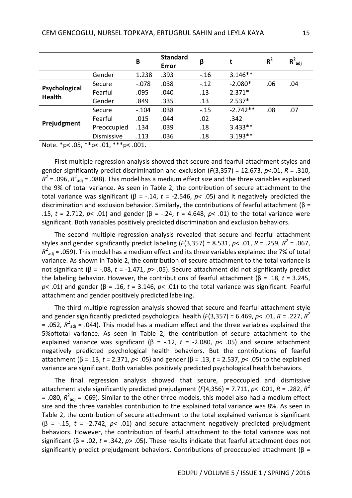|                                |             | B       | <b>Standard</b><br><b>Error</b> | β      | t          | $R^2$ | $R^2_{\text{adi}}$ |
|--------------------------------|-------------|---------|---------------------------------|--------|------------|-------|--------------------|
|                                | Gender      | 1.238   | .393                            | $-.16$ | $3.146**$  |       |                    |
| Psychological<br><b>Health</b> | Secure      | $-.078$ | .038                            | $-.12$ | $-2.080*$  | .06   | .04                |
|                                | Fearful     | .095    | .040                            | .13    | $2.371*$   |       |                    |
|                                | Gender      | .849    | .335                            | .13    | $2.537*$   |       |                    |
| Prejudgment                    | Secure      | $-.104$ | .038                            | $-.15$ | $-2.742**$ | .08   | .07                |
|                                | Fearful     | .015    | .044                            | .02    | .342       |       |                    |
|                                | Preoccupied | .134    | .039                            | .18    | $3.433**$  |       |                    |
|                                | Dismissive  | .113    | .036                            | .18    | $3.193**$  |       |                    |

Note. \*p< .05, \*\*p< .01, \*\*\*p< .001.

First multiple regression analysis showed that secure and fearful attachment styles and gender significantly predict discrimination and exclusion (*F*(3,357) = 12.673, *p*<.01, *R* = .310,  $R^2$  = .096,  $R^2_{adj}$  = .088). This model has a medium effect size and the three variables explained the 9% of total variance. As seen in Table 2, the contribution of secure attachment to the total variance was significant (β = -.14, *t* = -2.546, *p<* .05) and it negatively predicted the discrimination and exclusion behavior. Similarly, the contributions of fearful attachment ( $\beta$  = .15, *t* = 2.712, *p*< .01) and gender (β = -.24, *t* = 4.648, *p*< .01) to the total variance were significant. Both variables positively predicted discrimination and exclusion behaviors.

The second multiple regression analysis revealed that secure and fearful attachment styles and gender significantly predict labeling ( $F(3,357) = 8.531$ ,  $p < .01$ ,  $R = .259$ ,  $R^2 = .067$ ,  $R^2_{\text{adj}}$  = .059). This model has a medium effect and its three variables explained the 7% of total variance. As shown in Table 2, the contribution of secure attachment to the total variance is not significant (β = -.08, *t* = -1.471, *p*> .05). Secure attachment did not significantly predict the labeling behavior. However, the contributions of fearful attachment (β = .18, *t* = 3.245, *p*< .01) and gender (β = .16, *t* = 3.146, *p*< .01) to the total variance was significant. Fearful attachment and gender positively predicted labeling.

The third multiple regression analysis showed that secure and fearful attachment style and gender significantly predicted psychological health (*F*(3,357) = 6.469, *p*< .01, *R* = .227, *R* 2  $=$  .052,  $R^2_{\text{adj}}$  = .044). This model has a medium effect and the three variables explained the 5%oftotal variance. As seen in Table 2, the contribution of secure attachment to the explained variance was significant ( $β = -.12, t = -2.080, p < .05$ ) and secure attachment negatively predicted psychological health behaviors. But the contributions of fearful attachment (β = .13, *t* = 2.371, *p*< .05) and gender (β = .13, *t* = 2.537, *p*< .05) to the explained variance are significant. Both variables positively predicted psychological health behaviors.

The final regression analysis showed that secure, preoccupied and dismissive attachment style significantly predicted prejudgment (*F*(4,356) = 7.711, *p*< .001, *R* = .282, *R* 2 = .080,  $R^2_{\text{adj}}$  = .069). Similar to the other three models, this model also had a medium effect size and the three variables contribution to the explained total variance was 8%. As seen in Table 2, the contribution of secure attachment to the total explained variance is significant (β = -.15, *t* = -2.742, *p*< .01) and secure attachment negatively predicted prejudgment behaviors. However, the contribution of fearful attachment to the total variance was not significant (β = .02, *t* = .342, *p*> .05). These results indicate that fearful attachment does not significantly predict prejudgment behaviors. Contributions of preoccupied attachment ( $\beta$  =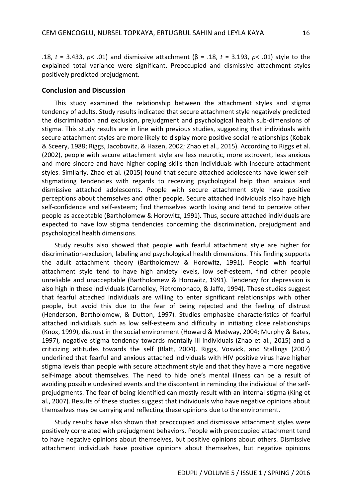.18, *t* = 3.433, *p*< .01) and dismissive attachment (β = .18, *t* = 3.193, *p*< .01) style to the explained total variance were significant. Preoccupied and dismissive attachment styles positively predicted prejudgment.

### **Conclusion and Discussion**

This study examined the relationship between the attachment styles and stigma tendency of adults. Study results indicated that secure attachment style negatively predicted the discrimination and exclusion, prejudgment and psychological health sub-dimensions of stigma. This study results are in line with previous studies, suggesting that individuals with secure attachment styles are more likely to display more positive social relationships (Kobak & Sceery, 1988; Riggs, Jacobovitz, & Hazen, 2002; Zhao et al., 2015). According to Riggs et al. (2002), people with secure attachment style are less neurotic, more extrovert, less anxious and more sincere and have higher coping skills than individuals with insecure attachment styles. Similarly, Zhao et al. (2015) found that secure attached adolescents have lower selfstigmatizing tendencies with regards to receiving psychological help than anxious and dismissive attached adolescents. People with secure attachment style have positive perceptions about themselves and other people. Secure attached individuals also have high self-confidence and self-esteem; find themselves worth loving and tend to perceive other people as acceptable (Bartholomew & Horowitz, 1991). Thus, secure attached individuals are expected to have low stigma tendencies concerning the discrimination, prejudgment and psychological health dimensions.

Study results also showed that people with fearful attachment style are higher for discrimination-exclusion, labeling and psychological health dimensions. This finding supports the adult attachment theory (Bartholomew & Horowitz, 1991). People with fearful attachment style tend to have high anxiety levels, low self-esteem, find other people unreliable and unacceptable (Bartholomew & Horowitz, 1991). Tendency for depression is also high in these individuals (Carnelley, Pietromonaco, & Jaffe, 1994). These studies suggest that fearful attached individuals are willing to enter significant relationships with other people, but avoid this due to the fear of being rejected and the feeling of distrust (Henderson, Bartholomew, & Dutton, 1997). Studies emphasize characteristics of fearful attached individuals such as low self-esteem and difficulty in initiating close relationships (Knox, 1999), distrust in the social environment (Howard & Medway, 2004; Murphy & Bates, 1997), negative stigma tendency towards mentally ill individuals (Zhao et al., 2015) and a criticizing attitudes towards the self (Blatt, 2004). Riggs, Vosvick, and Stallings (2007) underlined that fearful and anxious attached individuals with HIV positive virus have higher stigma levels than people with secure attachment style and that they have a more negative self-image about themselves. The need to hide one's mental illness can be a result of avoiding possible undesired events and the discontent in reminding the individual of the selfprejudgments. The fear of being identified can mostly result with an internal stigma (King et al., 2007). Results of these studies suggest that individuals who have negative opinions about themselves may be carrying and reflecting these opinions due to the environment.

Study results have also shown that preoccupied and dismissive attachment styles were positively correlated with prejudgment behaviors. People with preoccupied attachment tend to have negative opinions about themselves, but positive opinions about others. Dismissive attachment individuals have positive opinions about themselves, but negative opinions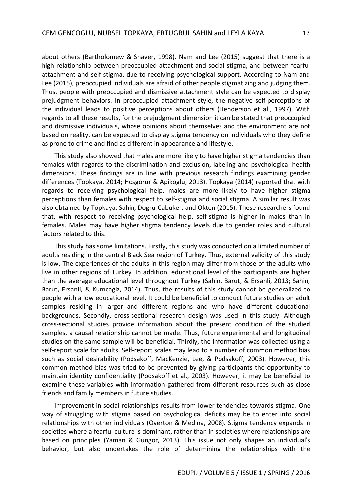about others (Bartholomew & Shaver, 1998). Nam and Lee (2015) suggest that there is a high relationship between preoccupied attachment and social stigma, and between fearful attachment and self-stigma, due to receiving psychological support. According to Nam and Lee (2015), preoccupied individuals are afraid of other people stigmatizing and judging them. Thus, people with preoccupied and dismissive attachment style can be expected to display prejudgment behaviors. In preoccupied attachment style, the negative self-perceptions of the individual leads to positive perceptions about others (Henderson et al., 1997). With regards to all these results, for the prejudgment dimension it can be stated that preoccupied and dismissive individuals, whose opinions about themselves and the environment are not based on reality, can be expected to display stigma tendency on individuals who they define as prone to crime and find as different in appearance and lifestyle.

This study also showed that males are more likely to have higher stigma tendencies than females with regards to the discrimination and exclusion, labeling and psychological health dimensions. These findings are in line with previous research findings examining gender differences (Topkaya, 2014; Hosgorur & Apikoglu, 2013). Topkaya (2014) reported that with regards to receiving psychological help, males are more likely to have higher stigma perceptions than females with respect to self-stigma and social stigma. A similar result was also obtained by Topkaya, Sahin, Dogru-Cabuker, and Okten (2015). These researchers found that, with respect to receiving psychological help, self-stigma is higher in males than in females. Males may have higher stigma tendency levels due to gender roles and cultural factors related to this.

This study has some limitations. Firstly, this study was conducted on a limited number of adults residing in the central Black Sea region of Turkey. Thus, external validity of this study is low. The experiences of the adults in this region may differ from those of the adults who live in other regions of Turkey. In addition, educational level of the participants are higher than the average educational level throughout Turkey (Sahin, Barut, & Ersanli, 2013; Sahin, Barut, Ersanli, & Kumcagiz, 2014). Thus, the results of this study cannot be generalized to people with a low educational level. It could be beneficial to conduct future studies on adult samples residing in larger and different regions and who have different educational backgrounds. Secondly, cross-sectional research design was used in this study. Although cross-sectional studies provide information about the present condition of the studied samples, a causal relationship cannot be made. Thus, future experimental and longitudinal studies on the same sample will be beneficial. Thirdly, the information was collected using a self-report scale for adults. Self-report scales may lead to a number of common method bias such as social desirability (Podsakoff, MacKenzie, Lee, & Podsakoff, 2003). However, this common method bias was tried to be prevented by giving participants the opportunity to maintain identity confidentiality (Podsakoff et al., 2003). However, it may be beneficial to examine these variables with information gathered from different resources such as close friends and family members in future studies.

Improvement in social relationships results from lower tendencies towards stigma. One way of struggling with stigma based on psychological deficits may be to enter into social relationships with other individuals (Overton & Medina, 2008). Stigma tendency expands in societies where a fearful culture is dominant, rather than in societies where relationships are based on principles (Yaman & Gungor, 2013). This issue not only shapes an individual's behavior, but also undertakes the role of determining the relationships with the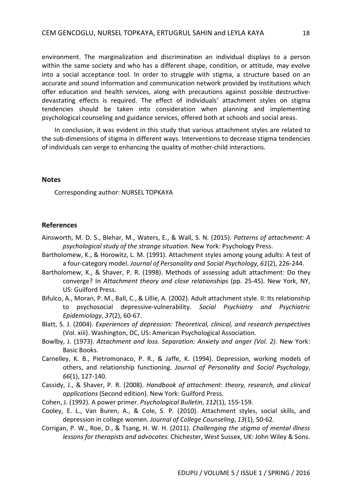environment. The marginalization and discrimination an individual displays to a person within the same society and who has a different shape, condition, or attitude, may evolve into a social acceptance tool. In order to struggle with stigma, a structure based on an accurate and sound information and communication network provided by institutions which offer education and health services, along with precautions against possible destructivedevastating effects is required. The effect of individuals' attachment styles on stigma tendencies should be taken into consideration when planning and implementing psychological counseling and guidance services, offered both at schools and social areas.

In conclusion, it was evident in this study that various attachment styles are related to the sub-dimensions of stigma in different ways. Interventions to decrease stigma tendencies of individuals can verge to enhancing the quality of mother-child interactions.

## **Notes**

Corresponding author: NURSEL TOPKAYA

### **References**

- Ainsworth, M. D. S., Blehar, M., Waters, E., & Wall, S. N. (2015). *Patterns of attachment: A psychological study of the strange situation*. New York: Psychology Press.
- Bartholomew, K., & Horowitz, L. M. (1991). Attachment styles among young adults: A test of a four-category model. *Journal of Personality and Social Psychology*, *61*(2), 226-244.
- Bartholomew, K., & Shaver, P. R. (1998). Methods of assessing adult attachment: Do they converge? In *Attachment theory and close relationships* (pp. 25-45). New York, NY, US: Guilford Press.
- Bifulco, A., Moran, P. M., Ball, C., & Lillie, A. (2002). Adult attachment style. II: Its relationship to psychosocial depressive-vulnerability. *Social Psychiatry and Psychiatric Epidemiology*, *37*(2), 60-67.
- Blatt, S. J. (2004). *Experiences of depression: Theoretical, clinical, and research perspectives* (Vol. xiii). Washington, DC, US: American Psychological Association.
- Bowlby, J. (1973). *Attachment and loss. Separation: Anxiety and anger (Vol. 2)*. New York: Basic Books.
- Carnelley, K. B., Pietromonaco, P. R., & Jaffe, K. (1994). Depression, working models of others, and relationship functioning. *Journal of Personality and Social Psychology*, *66*(1), 127-140.
- Cassidy, J., & Shaver, P. R. (2008). *Handbook of attachment: theory, research, and clinical applications* (Second edition). New York: Guilford Press.
- Cohen, J. (1992). A power primer. *Psychological Bulletin*, *112*(1), 155-159.
- Cooley, E. L., Van Buren, A., & Cole, S. P. (2010). Attachment styles, social skills, and depression in college women. *Journal of College Counseling*, *13*(1), 50-62.
- Corrigan, P. W., Roe, D., & Tsang, H. W. H. (2011). *Challenging the stigma of mental illness lessons for therapists and advocates*. Chichester, West Sussex, UK: John Wiley & Sons.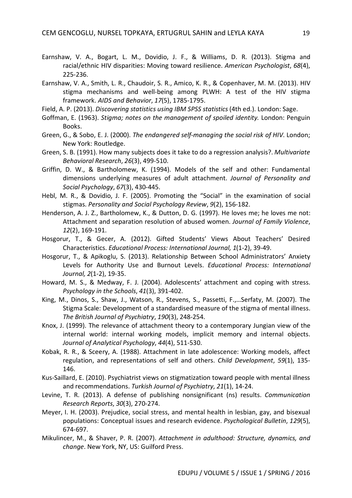- Earnshaw, V. A., Bogart, L. M., Dovidio, J. F., & Williams, D. R. (2013). Stigma and racial/ethnic HIV disparities: Moving toward resilience. *American Psychologist*, *68*(4), 225-236.
- Earnshaw, V. A., Smith, L. R., Chaudoir, S. R., Amico, K. R., & Copenhaver, M. M. (2013). HIV stigma mechanisms and well-being among PLWH: A test of the HIV stigma framework. *AIDS and Behavior*, *17*(5), 1785-1795.
- Field, A. P. (2013). *Discovering statistics using IBM SPSS statistics* (4th ed.). London: Sage.
- Goffman, E. (1963). *Stigma; notes on the management of spoiled identity.* London: Penguin Books.
- Green, G., & Sobo, E. J. (2000). *The endangered self-managing the social risk of HIV*. London; New York: Routledge.
- Green, S. B. (1991). How many subjects does it take to do a regression analysis?. *Multivariate Behavioral Research*, *26*(3), 499-510.
- Griffin, D. W., & Bartholomew, K. (1994). Models of the self and other: Fundamental dimensions underlying measures of adult attachment. *Journal of Personality and Social Psychology*, *67*(3), 430-445.
- Hebl, M. R., & Dovidio, J. F. (2005). Promoting the "Social" in the examination of social stigmas. *Personality and Social Psychology Review*, *9*(2), 156-182.
- Henderson, A. J. Z., Bartholomew, K., & Dutton, D. G. (1997). He loves me; he loves me not: Attachment and separation resolution of abused women. *Journal of Family Violence*, *12*(2), 169-191.
- Hosgorur, T., & Gecer, A. (2012). Gifted Students' Views About Teachers' Desired Characteristics. *Educational Process: International Journal, 1*(1-2), 39-49.
- Hosgorur, T., & Apikoglu, S. (2013). Relationship Between School Administrators' Anxiety Levels for Authority Use and Burnout Levels. *Educational Process: International Journal, 2*(1-2), 19-35.
- Howard, M. S., & Medway, F. J. (2004). Adolescents' attachment and coping with stress. *Psychology in the Schools*, *41*(3), 391-402.
- King, M., Dinos, S., Shaw, J., Watson, R., Stevens, S., Passetti, F.,…Serfaty, M. (2007). The Stigma Scale: Development of a standardised measure of the stigma of mental illness. *The British Journal of Psychiatry*, *190*(3), 248-254.
- Knox, J. (1999). The relevance of attachment theory to a contemporary Jungian view of the internal world: internal working models, implicit memory and internal objects. *Journal of Analytical Psychology*, *44*(4), 511-530.
- Kobak, R. R., & Sceery, A. (1988). Attachment in late adolescence: Working models, affect regulation, and representations of self and others. *Child Development*, *59*(1), 135- 146.
- Kus-Saillard, E. (2010). Psychiatrist views on stigmatization toward people with mental illness and recommendations. *Turkish Journal of Psychiatry*, *21*(1), 14-24.
- Levine, T. R. (2013). A defense of publishing nonsignificant (ns) results. *Communication Research Reports*, *30*(3), 270-274.
- Meyer, I. H. (2003). Prejudice, social stress, and mental health in lesbian, gay, and bisexual populations: Conceptual issues and research evidence. *Psychological Bulletin*, *129*(5), 674-697.
- Mikulincer, M., & Shaver, P. R. (2007). *Attachment in adulthood: Structure, dynamics, and change*. New York, NY, US: Guilford Press.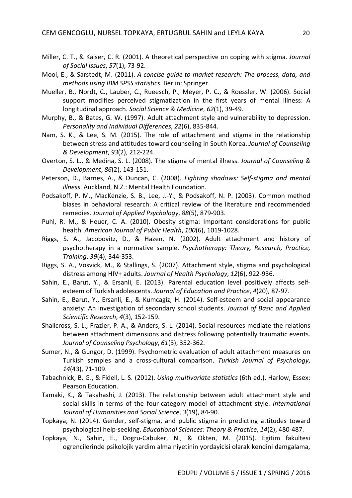- Miller, C. T., & Kaiser, C. R. (2001). A theoretical perspective on coping with stigma. *Journal of Social Issues*, *57*(1), 73-92.
- Mooi, E., & Sarstedt, M. (2011). *A concise guide to market research: The process, data, and methods using IBM SPSS statistics*. Berlin: Springer.
- Mueller, B., Nordt, C., Lauber, C., Rueesch, P., Meyer, P. C., & Roessler, W. (2006). Social support modifies perceived stigmatization in the first years of mental illness: A longitudinal approach. *Social Science & Medicine*, *62*(1), 39-49.
- Murphy, B., & Bates, G. W. (1997). Adult attachment style and vulnerability to depression. *Personality and Individual Differences*, *22*(6), 835-844.
- Nam, S. K., & Lee, S. M. (2015). The role of attachment and stigma in the relationship between stress and attitudes toward counseling in South Korea. *Journal of Counseling & Development*, *93*(2), 212-224.
- Overton, S. L., & Medina, S. L. (2008). The stigma of mental illness. *Journal of Counseling & Development*, *86*(2), 143-151.
- Peterson, D., Barnes, A., & Duncan, C. (2008). *Fighting shadows: Self-stigma and mental illness*. Auckland, N.Z.: Mental Health Foundation.
- Podsakoff, P. M., MacKenzie, S. B., Lee, J.-Y., & Podsakoff, N. P. (2003). Common method biases in behavioral research: A critical review of the literature and recommended remedies. *Journal of Applied Psychology*, *88*(5), 879-903.
- Puhl, R. M., & Heuer, C. A. (2010). Obesity stigma: Important considerations for public health. *American Journal of Public Health*, *100*(6), 1019-1028.
- Riggs, S. A., Jacobovitz, D., & Hazen, N. (2002). Adult attachment and history of psychotherapy in a normative sample. *Psychotherapy: Theory, Research, Practice, Training*, *39*(4), 344-353.
- Riggs, S. A., Vosvick, M., & Stallings, S. (2007). Attachment style, stigma and psychological distress among HIV+ adults. *Journal of Health Psychology*, *12*(6), 922-936.
- Sahin, E., Barut, Y., & Ersanli, E. (2013). Parental education level positively affects selfesteem of Turkish adolescents. *Journal of Education and Practice*, *4*(20), 87-97.
- Sahin, E., Barut, Y., Ersanli, E., & Kumcagiz, H. (2014). Self-esteem and social appearance anxiety: An investigation of secondary school students. *Journal of Basic and Applied Scientific Research*, *4*(3), 152-159.
- Shallcross, S. L., Frazier, P. A., & Anders, S. L. (2014). Social resources mediate the relations between attachment dimensions and distress following potentially traumatic events. *Journal of Counseling Psychology*, *61*(3), 352-362.
- Sumer, N., & Gungor, D. (1999). Psychometric evaluation of adult attachment measures on Turkish samples and a cross-cultural comparison. *Turkish Journal of Psychology*, *14*(43), 71-109.
- Tabachnick, B. G., & Fidell, L. S. (2012). *Using multivariate statistics* (6th ed.). Harlow, Essex: Pearson Education.
- Tamaki, K., & Takahashi, J. (2013). The relationship between adult attachment style and social skills in terms of the four-category model of attachment style. *International Journal of Humanities and Social Science*, *3*(19), 84-90.
- Topkaya, N. (2014). Gender, self-stigma, and public stigma in predicting attitudes toward psychological help-seeking. *Educational Sciences: Theory & Practice*, *14*(2), 480-487.
- Topkaya, N., Sahin, E., Dogru-Cabuker, N., & Okten, M. (2015). Egitim fakultesi ogrencilerinde psikolojik yardim alma niyetinin yordayicisi olarak kendini damgalama,